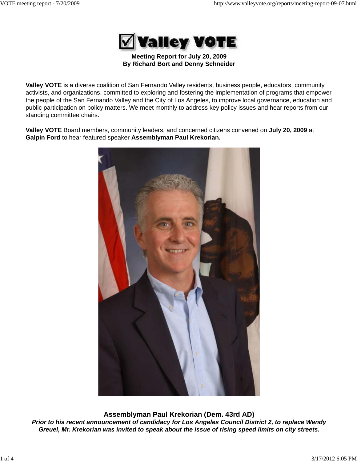

**Meeting Report for July 20, 2009 By Richard Bort and Denny Schneider**

**Valley VOTE** is a diverse coalition of San Fernando Valley residents, business people, educators, community activists, and organizations, committed to exploring and fostering the implementation of programs that empower the people of the San Fernando Valley and the City of Los Angeles, to improve local governance, education and public participation on policy matters. We meet monthly to address key policy issues and hear reports from our standing committee chairs.

**Valley VOTE** Board members, community leaders, and concerned citizens convened on **July 20, 2009** at **Galpin Ford** to hear featured speaker **Assemblyman Paul Krekorian.**



**Assemblyman Paul Krekorian (Dem. 43rd AD)** *Prior to his recent announcement of candidacy for Los Angeles Council District 2, to replace Wendy Greuel, Mr. Krekorian was invited to speak about the issue of rising speed limits on city streets.*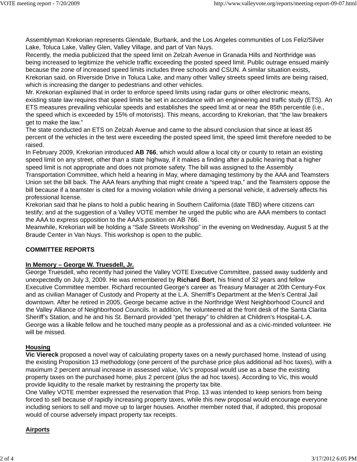Assemblyman Krekorian represents Glendale, Burbank, and the Los Angeles communities of Los Feliz/Silver Lake, Toluca Lake, Valley Glen, Valley Village, and part of Van Nuys.

Recently, the media publicized that the speed limit on Zelzah Avenue in Granada Hills and Northridge was being increased to legitimize the vehicle traffic exceeding the posted speed limit. Public outrage ensued mainly because the zone of increased speed limits includes three schools and CSUN. A similar situation exists, Krekorian said, on Riverside Drive in Toluca Lake, and many other Valley streets speed limits are being raised, which is increasing the danger to pedestrians and other vehicles.

Mr. Krekorian explained that in order to enforce speed limits using radar guns or other electronic means, existing state law requires that speed limits be set in accordance with an engineering and traffic study (ETS). An ETS measures prevailing vehicular speeds and establishes the speed limit at or near the 85th percentile (i.e., the speed which is exceeded by 15% of motorists). This means, according to Krekorian, that "the law breakers get to make the law."

The state conducted an ETS on Zelzah Avenue and came to the absurd conclusion that since at least 85 percent of the vehicles in the test were exceeding the posted speed limit, the speed limit therefore needed to be raised.

In February 2009, Krekorian introduced **AB 766**, which would allow a local city or county to retain an existing speed limit on any street, other than a state highway, if it makes a finding after a public hearing that a higher speed limit is not appropriate and does not promote safety. The bill was assigned to the Assembly

Transportation Committee, which held a hearing in May, where damaging testimony by the AAA and Teamsters Union set the bill back. The AAA fears anything that might create a "speed trap," and the Teamsters oppose the bill because if a teamster is cited for a moving violation while driving a personal vehicle, it adversely affects his professional license.

Krekorian said that he plans to hold a public hearing in Southern California (date TBD) where citizens can testify; and at the suggestion of a Valley VOTE member he urged the public who are AAA members to contact the AAA to express opposition to the AAA's position on AB 766.

Meanwhile, Krekorian will be holding a "Safe Streets Workshop" in the evening on Wednesday, August 5 at the Braude Center in Van Nuys. This workshop is open to the public.

# **COMMITTEE REPORTS**

# **In Memory – George W. Truesdell, Jr.**

George Truesdell, who recently had joined the Valley VOTE Executive Committee, passed away suddenly and unexpectedly on July 3, 2009. He was remembered by **Richard Bort**, his friend of 32 years and fellow Executive Committee member. Richard recounted George's career as Treasury Manager at 20th Century-Fox and as civilian Manager of Custody and Property at the L.A. Sherriff's Department at the Men's Central Jail downtown. After he retired in 2005, George became active in the Northridge West Neighborhood Council and the Valley Alliance of Neighborhood Councils. In addition, he volunteered at the front desk of the Santa Clarita Sheriff's Station, and he and his St. Bernard provided "pet therapy" to children at Children's Hospital-L.A. George was a likable fellow and he touched many people as a professional and as a civic-minded volunteer. He will be missed.

# **Housing**

**Vic Viereck** proposed a novel way of calculating property taxes on a newly purchased home. Instead of using the existing Proposition 13 methodology (one percent of the purchase price plus additional ad hoc taxes), with a maximum 2 percent annual increase in assessed value, Vic's proposal would use as a base the existing property taxes on the purchased home, plus 2 percent (plus the ad hoc taxes). According to Vic, this would provide liquidity to the resale market by restraining the property tax bite.

One Valley VOTE member expressed the reservation that Prop. 13 was intended to keep seniors from being forced to sell because of rapidly increasing property taxes, while this new proposal would encourage everyone including seniors to sell and move up to larger houses. Another member noted that, if adopted, this proposal would of course adversely impact property tax receipts.

# **Airports**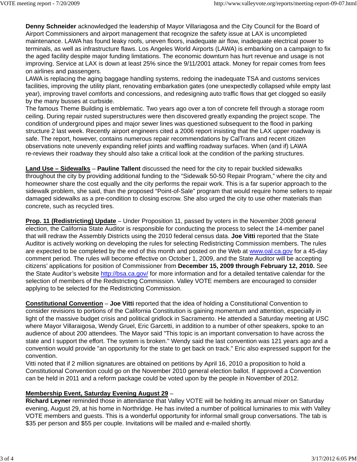**Denny Schneider** acknowledged the leadership of Mayor Villariagosa and the City Council for the Board of Airport Commissioners and airport management that recognize the safety issue at LAX is uncompleted maintenance. LAWA has found leaky roofs, uneven floors, inadequate air flow, inadequate electrical power to terminals, as well as infrastructure flaws. Los Angeles World Airports (LAWA) is embarking on a campaign to fix the aged facility despite major funding limitations. The economic downturn has hurt revenue and usage is not improving. Service at LAX is down at least 25% since the 9/11/2001 attack. Money for repair comes from fees on airlines and passengers.

LAWA is replacing the aging baggage handling systems, redoing the inadequate TSA and customs services facilities, improving the utility plant, renovating embarkation gates (one unexpectedly collapsed while empty last year), improving travel comforts and concessions, and redesigning auto traffic flows that get clogged so easily by the many busses at curbside.

The famous Theme Building is emblematic. Two years ago over a ton of concrete fell through a storage room ceiling. During repair rusted superstructures were then discovered greatly expanding the project scope. The condition of underground pipes and major sewer lines was questioned subsequent to the flood in parking structure 2 last week. Recently airport engineers cited a 2006 report insisting that the LAX upper roadway is safe. The report, however, contains numerous repair recommendations by CalTrans and recent citizen observations note unevenly expanding relief joints and waffling roadway surfaces. When (and if) LAWA re-reviews their roadway they should also take a critical look at the condition of the parking structures.

**Land Use – Sidewalks** – **Pauline Tallent** discussed the need for the city to repair buckled sidewalks throughout the city by providing additional funding to the "Sidewalk 50-50 Repair Program," where the city and homeowner share the cost equally and the city performs the repair work. This is a far superior approach to the sidewalk problem, she said, than the proposed "Point-of-Sale" program that would require home sellers to repair damaged sidewalks as a pre-condition to closing escrow. She also urged the city to use other materials than concrete, such as recycled tires.

**Prop. 11 (Redistricting) Update** – Under Proposition 11, passed by voters in the November 2008 general election, the California State Auditor is responsible for conducting the process to select the 14-member panel that will redraw the Assembly Districts using the 2010 federal census data. **Joe Vitti** reported that the State Auditor is actively working on developing the rules for selecting Redistricting Commission members. The rules are expected to be completed by the end of this month and posted on the Web at www.oal.ca.gov for a 45-day comment period. The rules will become effective on October 1, 2009, and the State Auditor will be accepting citizens' applications for position of Commissioner from **December 15, 2009 through February 12, 2010.** See the State Auditor's website http://bsa.ca.gov/ for more information and for a detailed tentative calendar for the selection of members of the Redistricting Commission. Valley VOTE members are encouraged to consider applying to be selected for the Redistricting Commission.

**Constitutional Convention** – **Joe Vitti** reported that the idea of holding a Constitutional Convention to consider revisions to portions of the California Constitution is gaining momentum and attention, especially in light of the massive budget crisis and political gridlock in Sacramento. He attended a Saturday meeting at USC where Mayor Villaraigosa, Wendy Gruel, Eric Garcetti, in addition to a number of other speakers, spoke to an audience of about 200 attendees. The Mayor said "This topic is an important conversation to have across the state and I support the effort. The system is broken." Wendy said the last convention was 121 years ago and a convention would provide "an opportunity for the state to get back on track." Eric also expressed support for the convention.

Vitti noted that if 2 million signatures are obtained on petitions by April 16, 2010 a proposition to hold a Constitutional Convention could go on the November 2010 general election ballot. If approved a Convention can be held in 2011 and a reform package could be voted upon by the people in November of 2012.

# **Membership Event, Saturday Evening August 29** –

**Richard Leyner** reminded those in attendance that Valley VOTE will be holding its annual mixer on Saturday evening, August 29, at his home in Northridge. He has invited a number of political luminaries to mix with Valley VOTE members and guests. This is a wonderful opportunity for informal small group conversations. The tab is \$35 per person and \$55 per couple. Invitations will be mailed and e-mailed shortly.